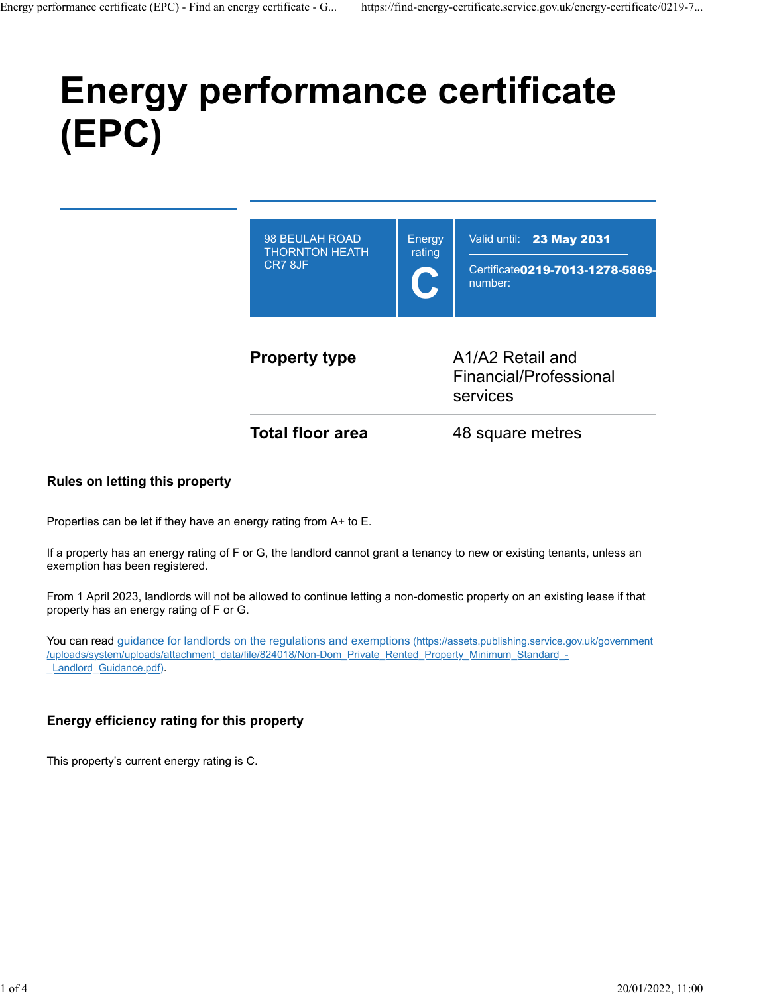# **Energy performance certificate (EPC)**

| <b>Property type</b>                               | A1/A2 Retail and<br>Financial/Professional<br>services |                                                                                |
|----------------------------------------------------|--------------------------------------------------------|--------------------------------------------------------------------------------|
| 98 BEULAH ROAD<br><b>THORNTON HEATH</b><br>CR7 8JF | Energy<br>rating                                       | Valid until: <b>23 May 2031</b><br>Certificate 0219-7013-1278-5869-<br>number: |

#### **Rules on letting this property**

Properties can be let if they have an energy rating from A+ to E.

If a property has an energy rating of F or G, the landlord cannot grant a tenancy to new or existing tenants, unless an exemption has been registered.

From 1 April 2023, landlords will not be allowed to continue letting a non-domestic property on an existing lease if that property has an energy rating of F or G.

You can read [guidance for landlords on the regulations and exemptions \(https://assets.publishing.service.gov.uk/government](https://assets.publishing.service.gov.uk/government/uploads/system/uploads/attachment_data/file/824018/Non-Dom_Private_Rented_Property_Minimum_Standard_-_Landlord_Guidance.pdf) [/uploads/system/uploads/attachment\\_data/file/824018/Non-Dom\\_Private\\_Rented\\_Property\\_Minimum\\_Standard\\_-](https://assets.publishing.service.gov.uk/government/uploads/system/uploads/attachment_data/file/824018/Non-Dom_Private_Rented_Property_Minimum_Standard_-_Landlord_Guidance.pdf) Landlord Guidance.pdf).

### **Energy efficiency rating for this property**

This property's current energy rating is C.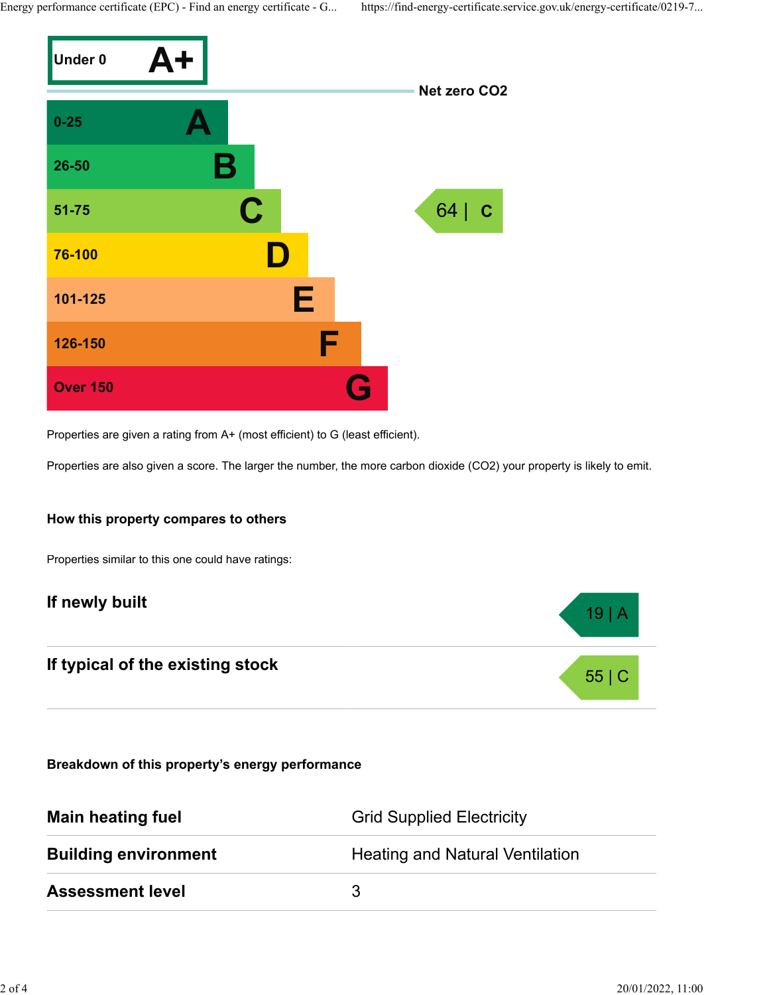Energy performance certificate (EPC) - Find an energy certificate - G... https://find-energy-certificate.service.gov.uk/energy-certificate/0219-7...



Properties are given a rating from A+ (most efficient) to G (least efficient).

Properties are also given a score. The larger the number, the more carbon dioxide (CO2) your property is likely to emit.

#### **How this property compares to others**

Properties similar to this one could have ratings:

# **If newly built 19 | A**

# **If typical of the existing stock** 55 | C

**Breakdown of this property's energy performance**

| <b>Main heating fuel</b>    | <b>Grid Supplied Electricity</b>       |
|-----------------------------|----------------------------------------|
| <b>Building environment</b> | <b>Heating and Natural Ventilation</b> |
| <b>Assessment level</b>     | 3                                      |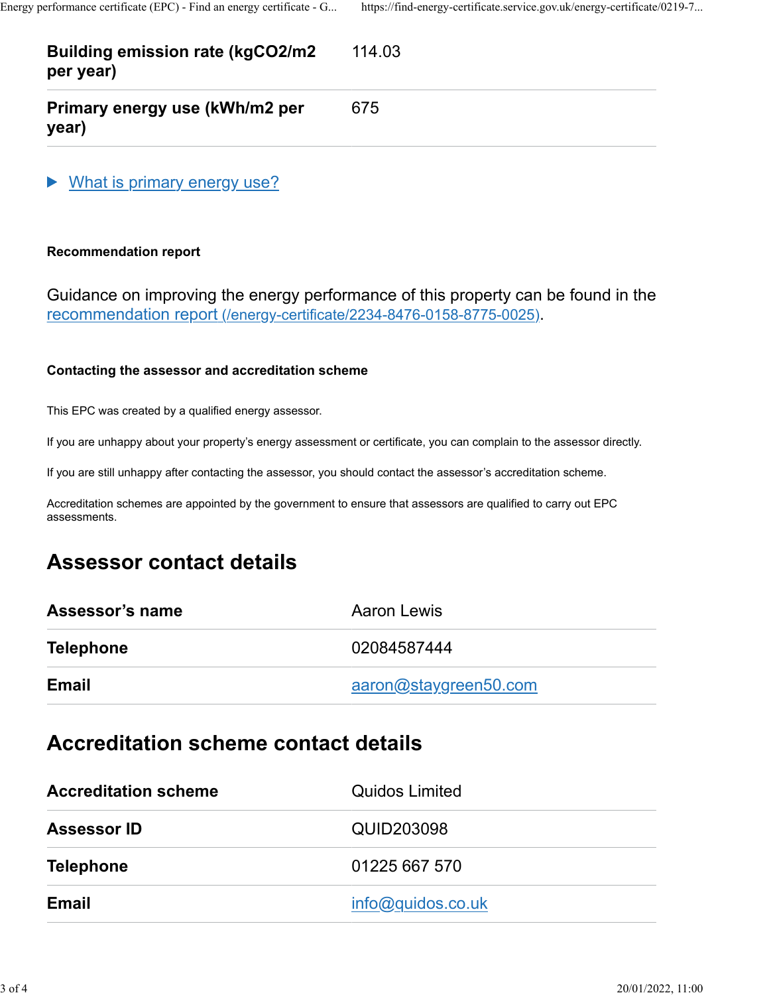#### **Building emission rate (kgCO2/m2 per year)** 114.03

**Primary energy use (kWh/m2 per year)**

What is primary energy use?

## **Recommendation report**

Guidance on improving the energy performance of this property can be found in the [recommendation report \(/energy-certificate/2234-8476-0158-8775-0025\).](https://find-energy-certificate.service.gov.uk/energy-certificate/2234-8476-0158-8775-0025)

675

### **Contacting the assessor and accreditation scheme**

This EPC was created by a qualified energy assessor.

If you are unhappy about your property's energy assessment or certificate, you can complain to the assessor directly.

If you are still unhappy after contacting the assessor, you should contact the assessor's accreditation scheme.

Accreditation schemes are appointed by the government to ensure that assessors are qualified to carry out EPC assessments.

## **Assessor contact details**

| Assessor's name  | Aaron Lewis           |
|------------------|-----------------------|
| <b>Telephone</b> | 02084587444           |
| Email            | aaron@staygreen50.com |

## **Accreditation scheme contact details**

| <b>Accreditation scheme</b> | <b>Quidos Limited</b> |
|-----------------------------|-----------------------|
| <b>Assessor ID</b>          | QUID203098            |
| <b>Telephone</b>            | 01225 667 570         |
| Email                       | info@quidos.co.uk     |